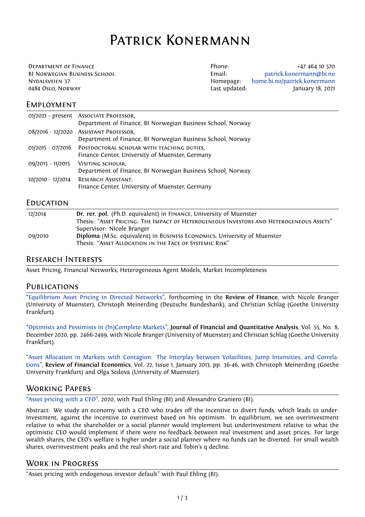# Patrick Konermann

Department of Finance Phone: +47 464 10 570 BI Norwegian Business School Email: patrick.konermann@bi.no Nydalsveien 37 Homepage: home.bi.no/patrick.konermann 0484 Oslo, Norway Last updated: January 18, 2021

#### **EMPLOYMENT**

|                   | 01/2021 - present Associate Professor,<br>Department of Finance, BI Norwegian Business School, Norway           |
|-------------------|-----------------------------------------------------------------------------------------------------------------|
|                   | 08/2016 - 12/2020 ASSISTANT PROFESSOR,<br>Department of Finance, BI Norwegian Business School, Norway           |
|                   | 01/2015 - 07/2016 POSTDOCTORAL SCHOLAR WITH TEACHING DUTIES,<br>Finance Center, University of Muenster, Germany |
| 09/2015 - 11/2015 | VISITING SCHOLAR.<br>Department of Finance, BI Norwegian Business School, Norway                                |
| 10/2010 - 12/2014 | RESEARCH ASSISTANT,<br>Finance Center, University of Muenster, Germany                                          |

#### **EDUCATION**

| 12/2014 | Dr. rer. pol. (Ph.D. equivalent) in FINANCE, University of Muenster                     |
|---------|-----------------------------------------------------------------------------------------|
|         | Thesis: "ASSET PRICING: THE IMPACT OF HETEROGENEOUS INVESTORS AND HETEROGENEOUS ASSETS" |
|         | Supervisor: Nicole Branger                                                              |
| 09/2010 | Diploma (M.Sc. equivalent) in BUSINESS ECONOMICS, University of Muenster                |
|         | Thesis: "ASSET ALLOCATION IN THE FACE OF SYSTEMIC RISK"                                 |

#### Research Interests

Asset Pricing, Financial Networks, Heterogeneous Agent Models, Market Incompleteness

#### **PUBLICATIONS**

"Equilibrium Asset Pricing in Directed Networks", forthcoming in the **Review of Finance**, with Nicole Branger (University of Muenster), Christoph Meinerding (Deutsche Bundesbank), and Christian Schlag (Goethe University Frankfurt).

["Optimists and Pessimists in \(In\)Complete Markets](https://doi.org/10.1093/rof/rfaa035)", **Journal of Financial and Quantitative Analysis**, Vol. 55, No. 8, December 2020, pp. 2466-2499, with Nicole Branger (University of Muenster) and Christian Schlag (Goethe University Frankfurt).

["Asset Allocation in Markets with Contagion: The](https://doi.org/10.1017/S002210901900070X) Interplay between Volatilities, Jump Intensities, and Correlations", **Review of Financial Economics**, Vol. 22, Issue 1, January 2013, pp. 36-46, with Christoph Meinerding (Goethe University Frankfurt) and Olga Sedova (University of Muenster).

#### [Working Papers](http://dx.doi.org/10.1016/j.rfe.2012.08.001)

["Asse](http://dx.doi.org/10.1016/j.rfe.2012.08.001)t pricing with a CEO", 2020, with Paul Ehling (BI) and Alessandro Graniero (BI).

Abstract: We study an economy with a CEO who trades off the incentive to divert funds, which leads to underinvestment, against the incentive to overinvest based on his optimism. In equilibrium, we see overinvestment relative to what the shareholder or a social planner would implement but underinvestment relative to what the [optimistic CEO would imp](https://papers.ssrn.com/sol3/papers.cfm?abstract_id=3674022)lement if there were no feedback between real investment and asset prices. For large wealth shares, the CEO's welfare is higher under a social planner where no funds can be diverted. For small wealth shares, overinvestment peaks and the real short-rate and Tobin's q decline.

### Work in Progress

"Asset pricing with endogenous investor default" with Paul Ehling (BI).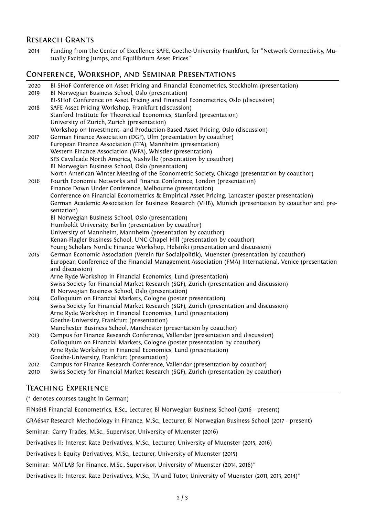### Research Grants

2014 Funding from the Center of Excellence SAFE, Goethe-University Frankfurt, for "Network Connectivity, Mutually Exciting Jumps, and Equilibrium Asset Prices"

## Conference, Workshop, and Seminar Presentations

| 2020 | BI-SHoF Conference on Asset Pricing and Financial Econometrics, Stockholm (presentation)                                               |
|------|----------------------------------------------------------------------------------------------------------------------------------------|
| 2019 | Bl Norwegian Business School, Oslo (presentation)<br>BI-SHoF Conference on Asset Pricing and Financial Econometrics, Oslo (discussion) |
| 2018 | SAFE Asset Pricing Workshop, Frankfurt (discussion)                                                                                    |
|      | Stanford Institute for Theoretical Economics, Stanford (presentation)                                                                  |
|      | University of Zurich, Zurich (presentation)                                                                                            |
|      | Workshop on Investment- and Production-Based Asset Pricing, Oslo (discussion)                                                          |
| 2017 | German Finance Association (DGF), Ulm (presentation by coauthor)                                                                       |
|      | European Finance Association (EFA), Mannheim (presentation)                                                                            |
|      | Western Finance Association (WFA), Whistler (presentation)                                                                             |
|      | SFS Cavalcade North America, Nashville (presentation by coauthor)                                                                      |
|      | BI Norwegian Business School, Oslo (presentation)                                                                                      |
|      | North American Winter Meeting of the Econometric Society, Chicago (presentation by coauthor)                                           |
| 2016 | Fourth Economic Networks and Finance Conference, London (presentation)                                                                 |
|      | Finance Down Under Conference, Melbourne (presentation)                                                                                |
|      | Conference on Financial Econometrics & Empirical Asset Pricing, Lancaster (poster presentation)                                        |
|      | German Academic Association for Business Research (VHB), Munich (presentation by coauthor and pre-                                     |
|      | sentation)                                                                                                                             |
|      | BI Norwegian Business School, Oslo (presentation)                                                                                      |
|      | Humboldt University, Berlin (presentation by coauthor)                                                                                 |
|      | University of Mannheim, Mannheim (presentation by coauthor)                                                                            |
|      | Kenan-Flagler Business School, UNC-Chapel Hill (presentation by coauthor)                                                              |
|      | Young Scholars Nordic Finance Workshop, Helsinki (presentation and discussion)                                                         |
| 2015 | German Economic Association (Verein für Socialpolitik), Muenster (presentation by coauthor)                                            |
|      | European Conference of the Financial Management Association (FMA) International, Venice (presentation<br>and discussion)               |
|      | Arne Ryde Workshop in Financial Economics, Lund (presentation)                                                                         |
|      | Swiss Society for Financial Market Research (SGF), Zurich (presentation and discussion)                                                |
|      | BI Norwegian Business School, Oslo (presentation)                                                                                      |
| 2014 | Colloquium on Financial Markets, Cologne (poster presentation)                                                                         |
|      | Swiss Society for Financial Market Research (SGF), Zurich (presentation and discussion)                                                |
|      | Arne Ryde Workshop in Financial Economics, Lund (presentation)                                                                         |
|      | Goethe-University, Frankfurt (presentation)                                                                                            |
|      | Manchester Business School, Manchester (presentation by coauthor)                                                                      |
| 2013 | Campus for Finance Research Conference, Vallendar (presentation and discussion)                                                        |
|      | Colloquium on Financial Markets, Cologne (poster presentation by coauthor)                                                             |
|      | Arne Ryde Workshop in Financial Economics, Lund (presentation)                                                                         |
|      | Goethe-University, Frankfurt (presentation)                                                                                            |
| 2012 | Campus for Finance Research Conference, Vallendar (presentation by coauthor)                                                           |
| 2010 | Swiss Society for Financial Market Research (SGF), Zurich (presentation by coauthor)                                                   |

## Teaching Experience

( *<sup>∗</sup>* denotes courses taught in German)

FIN3618 Financial Econometrics, B.Sc., Lecturer, BI Norwegian Business School (2016 - present)

GRA6547 Research Methodology in Finance, M.Sc., Lecturer, BI Norwegian Business School (2017 - present)

Seminar: Carry Trades, M.Sc., Supervisor, University of Muenster (2016)

Derivatives II: Interest Rate Derivatives, M.Sc., Lecturer, University of Muenster (2015, 2016)

Derivatives I: Equity Derivatives, M.Sc., Lecturer, University of Muenster (2015)

Seminar: MATLAB for Finance, M.Sc., Supervisor, University of Muenster (2014, 2016)*<sup>∗</sup>*

Derivatives II: Interest Rate Derivatives, M.Sc., TA and Tutor, University of Muenster (2011, 2013, 2014)*<sup>∗</sup>*